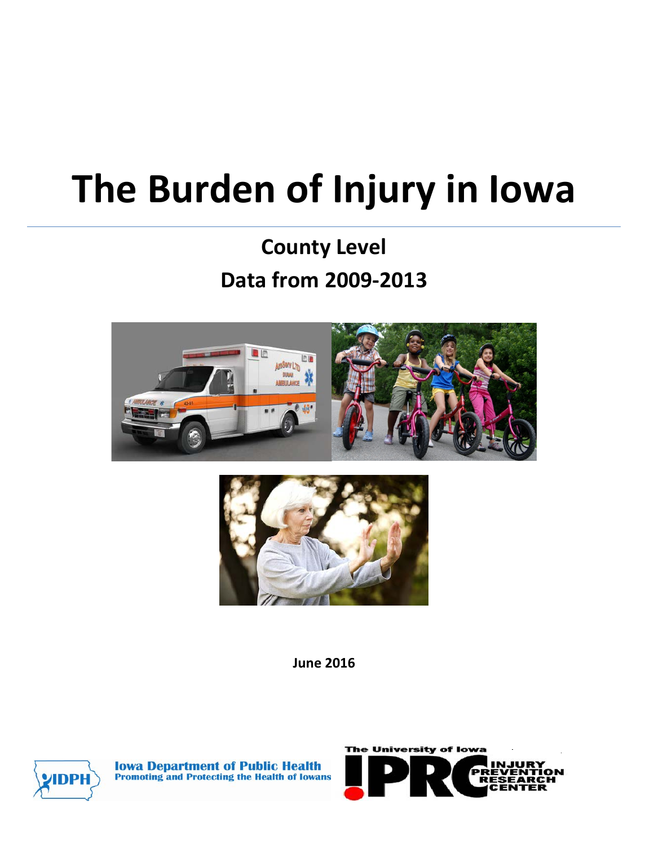# **The Burden of Injury in Iowa**

## **County Level Data from 2009-2013**





**June 2016**



**Iowa Department of Public Health Promoting and Protecting the Health of Iowans** 

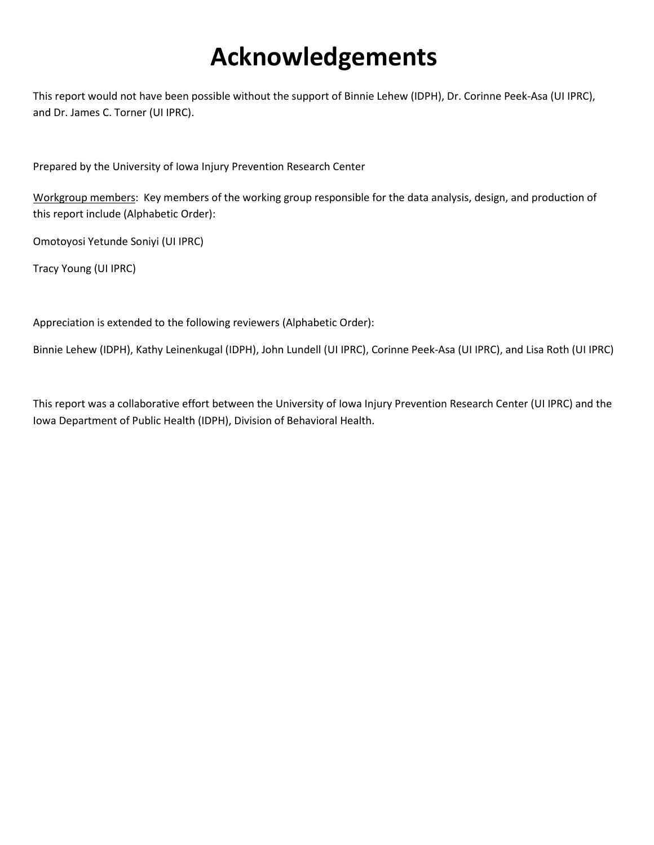# **Acknowledgements**

This report would not have been possible without the support of Binnie Lehew (IDPH), Dr. Corinne Peek-Asa (UI IPRC), and Dr. James C. Torner (UI IPRC).

Prepared by the University of Iowa Injury Prevention Research Center

Workgroup members: Key members of the working group responsible for the data analysis, design, and production of this report include (Alphabetic Order):

Omotoyosi Yetunde Soniyi (UI IPRC)

Tracy Young (UI IPRC)

Appreciation is extended to the following reviewers (Alphabetic Order):

Binnie Lehew (IDPH), Kathy Leinenkugal (IDPH), John Lundell (UI IPRC), Corinne Peek-Asa (UI IPRC), and Lisa Roth (UI IPRC)

This report was a collaborative effort between the University of Iowa Injury Prevention Research Center (UI IPRC) and the Iowa Department of Public Health (IDPH), Division of Behavioral Health.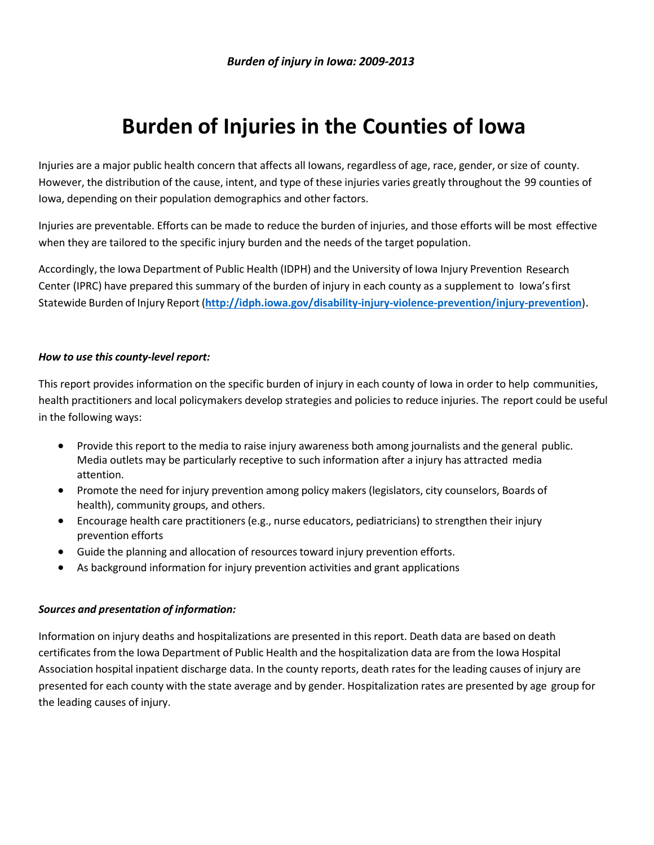### **Burden of Injuries in the Counties of Iowa**

Injuries are a major public health concern that affects all Iowans, regardless of age, race, gender, or size of county. However, the distribution of the cause, intent, and type of these injuries varies greatly throughout the 99 counties of Iowa, depending on their population demographics and other factors.

Injuries are preventable. Efforts can be made to reduce the burden of injuries, and those efforts will be most effective when they are tailored to the specific injury burden and the needs of the target population.

Accordingly, the Iowa Department of Public Health (IDPH) and the University of Iowa Injury Prevention Research Center (IPRC) have prepared this summary of the burden of injury in each county as a supplement to Iowa'sfirst Statewide Burden of Injury Report (**<http://idph.iowa.gov/disability-injury-violence-prevention/injury-prevention>**).

#### *How to use this county‐level report:*

This report provides information on the specific burden of injury in each county of Iowa in order to help communities, health practitioners and local policymakers develop strategies and policies to reduce injuries. The report could be useful in the following ways:

- Provide this report to the media to raise injury awareness both among journalists and the general public. Media outlets may be particularly receptive to such information after a injury has attracted media attention.
- Promote the need for injury prevention among policy makers (legislators, city counselors, Boards of health), community groups, and others.
- Encourage health care practitioners(e.g., nurse educators, pediatricians) to strengthen their injury prevention efforts
- Guide the planning and allocation of resources toward injury prevention efforts.
- As background information for injury prevention activities and grant applications

#### *Sources and presentation of information:*

Information on injury deaths and hospitalizations are presented in this report. Death data are based on death certificates from the Iowa Department of Public Health and the hospitalization data are from the Iowa Hospital Association hospital inpatient discharge data. In the county reports, death rates for the leading causes of injury are presented for each county with the state average and by gender. Hospitalization rates are presented by age group for the leading causes of injury.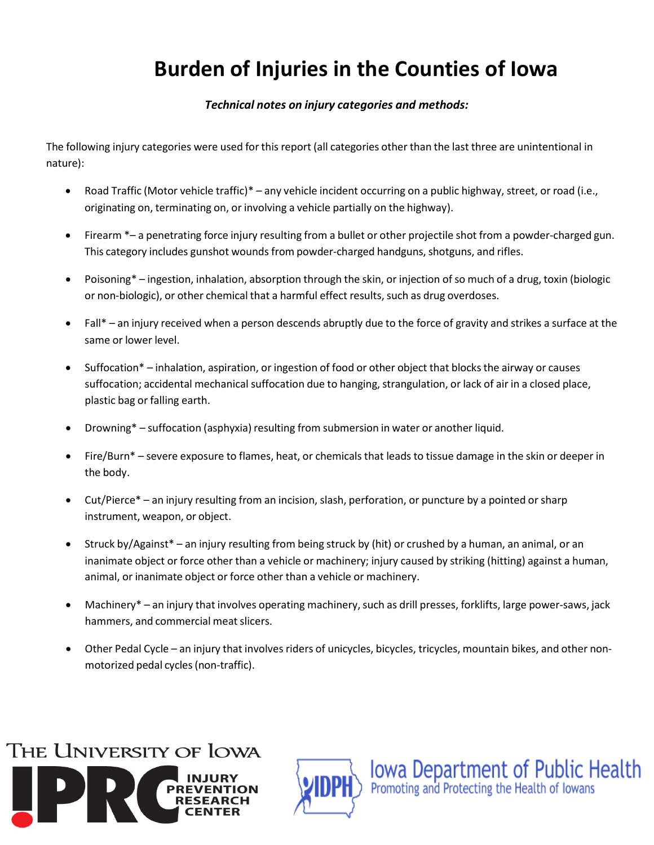### **Burden of Injuries in the Counties of Iowa**

#### *Technical notes on injury categories and methods:*

The following injury categories were used for this report (all categories other than the last three are unintentional in nature):

- Road Traffic (Motor vehicle traffic)\* any vehicle incident occurring on a public highway, street, or road (i.e., originating on, terminating on, or involving a vehicle partially on the highway).
- Firearm \*– a penetrating force injury resulting from a bullet or other projectile shot from a powder-charged gun. This category includes gunshot wounds from powder-charged handguns, shotguns, and rifles.
- Poisoning\* ingestion, inhalation, absorption through the skin, or injection of so much of a drug, toxin (biologic or non-biologic), or other chemical that a harmful effect results, such as drug overdoses.
- Fall\* an injury received when a person descends abruptly due to the force of gravity and strikes a surface at the same or lower level.
- Suffocation\* inhalation, aspiration, or ingestion of food or other object that blocks the airway or causes suffocation; accidental mechanical suffocation due to hanging, strangulation, or lack of air in a closed place, plastic bag or falling earth.
- Drowning\* suffocation (asphyxia) resulting from submersion in water or another liquid.
- Fire/Burn\* severe exposure to flames, heat, or chemicals that leads to tissue damage in the skin or deeper in the body.
- Cut/Pierce<sup>\*</sup> an injury resulting from an incision, slash, perforation, or puncture by a pointed or sharp instrument, weapon, or object.
- Struck by/Against\* an injury resulting from being struck by (hit) or crushed by a human, an animal, or an inanimate object or force other than a vehicle or machinery; injury caused by striking (hitting) against a human, animal, or inanimate object or force other than a vehicle or machinery.
- Machinery\* an injury that involves operating machinery, such as drill presses, forklifts, large power-saws, jack hammers, and commercial meat slicers.
- Other Pedal Cycle an injury that involves riders of unicycles, bicycles, tricycles, mountain bikes, and other nonmotorized pedal cycles (non-traffic).





**IOWA Department of Public Health**<br>Promoting and Protecting the Health of Iowans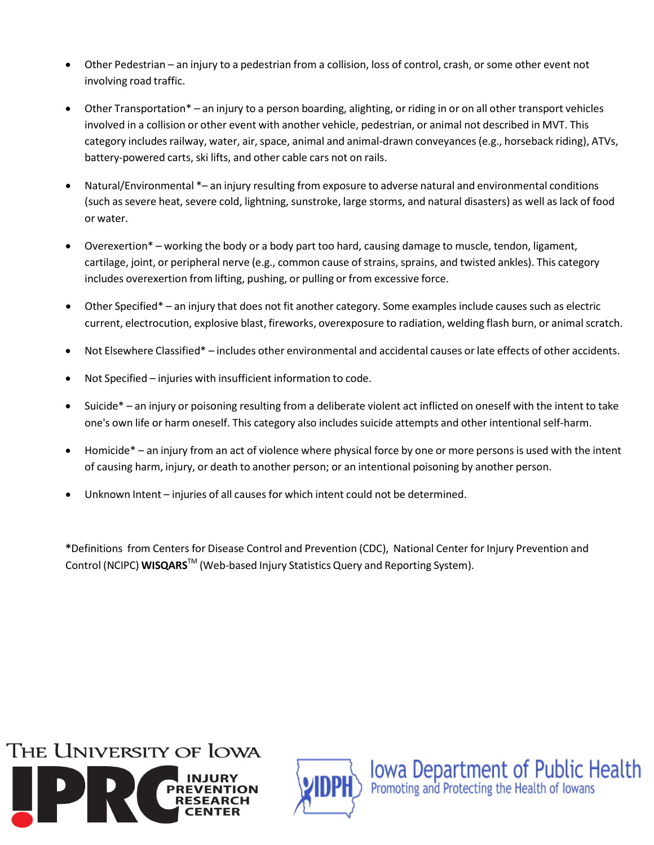- Other Pedestrian an injury to a pedestrian from a collision, loss of control, crash, orsome other event not involving road traffic.
- Other Transportation\* an injury to a person boarding, alighting, or riding in or on all other transport vehicles involved in a collision or other event with another vehicle, pedestrian, or animal not described in MVT. This category includes railway, water, air, space, animal and animal-drawn conveyances (e.g., horseback riding), ATVs, battery‐powered carts, ski lifts, and other cable cars not on rails.
- Natural/Environmental \*– an injury resulting from exposure to adverse natural and environmental conditions (such as severe heat, severe cold, lightning, sunstroke, large storms, and natural disasters) as well as lack of food or water.
- Overexertion\* working the body or a body part too hard, causing damage to muscle, tendon, ligament, cartilage, joint, or peripheral nerve (e.g., common cause of strains, sprains, and twisted ankles). This category includes overexertion from lifting, pushing, or pulling or from excessive force.
- Other Specified\* an injury that does not fit another category. Some examples include causes such as electric current, electrocution, explosive blast, fireworks, overexposure to radiation, welding flash burn, or animalscratch.
- Not Elsewhere Classified\* includes other environmental and accidental causes or late effects of other accidents.
- Not Specified injuries with insufficient information to code.
- Suicide\* an injury or poisoning resulting from a deliberate violent act inflicted on oneself with the intent to take one's own life or harm oneself. This category also includes suicide attempts and other intentionalself‐harm.
- Homicide\* an injury from an act of violence where physical force by one or more persons is used with the intent of causing harm, injury, or death to another person; or an intentional poisoning by another person.
- Unknown Intent injuries of all causes for which intent could not be determined.

**\***Definitions from Centers for Disease Control and Prevention (CDC), National Center for Injury Prevention and Control (NCIPC) **WISQARS**TM (Web‐based Injury Statistics Query and Reporting System).





**IOWA Department of Public Health**<br>Promoting and Protecting the Health of Iowans